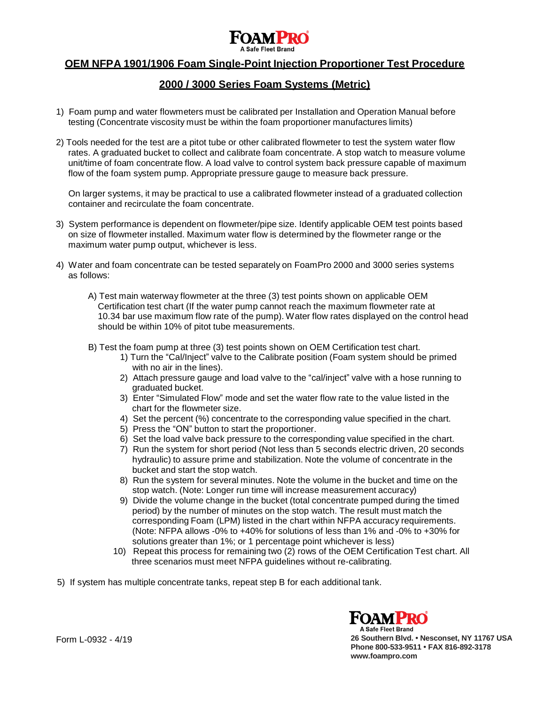

# **OEM NFPA 1901/1906 Foam Single-Point Injection Proportioner Test Procedure**

# **2000 / 3000 Series Foam Systems (Metric)**

- 1) Foam pump and water flowmeters must be calibrated per Installation and Operation Manual before testing (Concentrate viscosity must be within the foam proportioner manufactures limits)
- 2) Tools needed for the test are a pitot tube or other calibrated flowmeter to test the system water flow rates. A graduated bucket to collect and calibrate foam concentrate. A stop watch to measure volume unit/time of foam concentrate flow. A load valve to control system back pressure capable of maximum flow of the foam system pump. Appropriate pressure gauge to measure back pressure.

On larger systems, it may be practical to use a calibrated flowmeter instead of a graduated collection container and recirculate the foam concentrate.

- 3) System performance is dependent on flowmeter/pipe size. Identify applicable OEM test points based on size of flowmeter installed. Maximum water flow is determined by the flowmeter range or the maximum water pump output, whichever is less.
- 4) Water and foam concentrate can be tested separately on FoamPro 2000 and 3000 series systems as follows:
	- A) Test main waterway flowmeter at the three (3) test points shown on applicable OEM Certification test chart (If the water pump cannot reach the maximum flowmeter rate at 10.34 bar use maximum flow rate of the pump). Water flow rates displayed on the control head should be within 10% of pitot tube measurements.
	- B) Test the foam pump at three (3) test points shown on OEM Certification test chart.
		- 1) Turn the "Cal/Inject" valve to the Calibrate position (Foam system should be primed with no air in the lines).
		- 2) Attach pressure gauge and load valve to the "cal/inject" valve with a hose running to graduated bucket.
		- 3) Enter "Simulated Flow" mode and set the water flow rate to the value listed in the chart for the flowmeter size.
		- 4) Set the percent (%) concentrate to the corresponding value specified in the chart.
		- 5) Press the "ON" button to start the proportioner.
		- 6) Set the load valve back pressure to the corresponding value specified in the chart.
		- 7) Run the system for short period (Not less than 5 seconds electric driven, 20 seconds hydraulic) to assure prime and stabilization. Note the volume of concentrate in the bucket and start the stop watch.
		- 8) Run the system for several minutes. Note the volume in the bucket and time on the stop watch. (Note: Longer run time will increase measurement accuracy)
		- 9) Divide the volume change in the bucket (total concentrate pumped during the timed period) by the number of minutes on the stop watch. The result must match the corresponding Foam (LPM) listed in the chart within NFPA accuracy requirements. (Note: NFPA allows -0% to +40% for solutions of less than 1% and -0% to +30% for solutions greater than 1%; or 1 percentage point whichever is less)
		- 10) Repeat this process for remaining two (2) rows of the OEM Certification Test chart. All three scenarios must meet NFPA guidelines without re-calibrating.

5) If system has multiple concentrate tanks, repeat step B for each additional tank.